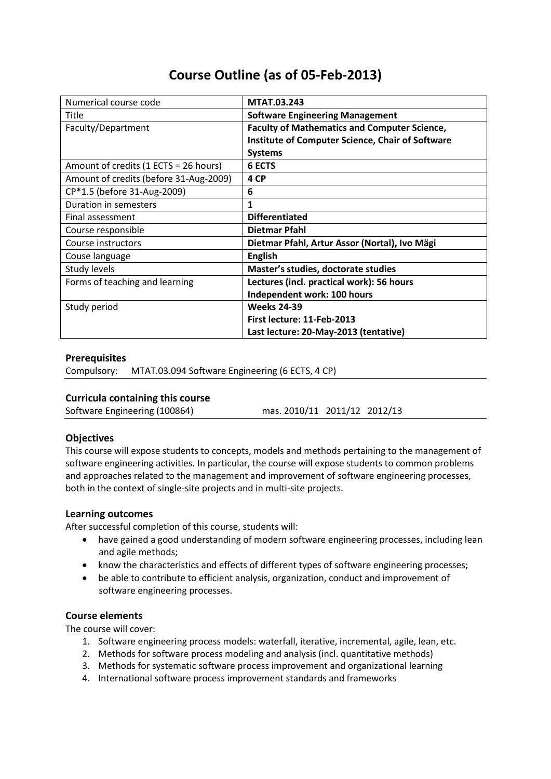# **Course Outline (as of 05-Feb-2013)**

| Numerical course code                  | <b>MTAT.03.243</b>                                      |
|----------------------------------------|---------------------------------------------------------|
| Title                                  | <b>Software Engineering Management</b>                  |
| Faculty/Department                     | <b>Faculty of Mathematics and Computer Science,</b>     |
|                                        | <b>Institute of Computer Science, Chair of Software</b> |
|                                        | <b>Systems</b>                                          |
| Amount of credits (1 ECTS = 26 hours)  | <b>6 ECTS</b>                                           |
| Amount of credits (before 31-Aug-2009) | 4 CP                                                    |
| CP*1.5 (before 31-Aug-2009)            | 6                                                       |
| Duration in semesters                  | 1                                                       |
| Final assessment                       | <b>Differentiated</b>                                   |
| Course responsible                     | Dietmar Pfahl                                           |
| Course instructors                     | Dietmar Pfahl, Artur Assor (Nortal), Ivo Mägi           |
| Couse language                         | <b>English</b>                                          |
| Study levels                           | Master's studies, doctorate studies                     |
| Forms of teaching and learning         | Lectures (incl. practical work): 56 hours               |
|                                        | Independent work: 100 hours                             |
| Study period                           | <b>Weeks 24-39</b>                                      |
|                                        | First lecture: 11-Feb-2013                              |
|                                        | Last lecture: 20-May-2013 (tentative)                   |

## **Prerequisites**

Compulsory: MTAT.03.094 Software Engineering (6 ECTS, 4 CP)

## **Curricula containing this course**

Software Engineering (100864) mas. 2010/11 2011/12 2012/13

## **Objectives**

This course will expose students to concepts, models and methods pertaining to the management of software engineering activities. In particular, the course will expose students to common problems and approaches related to the management and improvement of software engineering processes, both in the context of single-site projects and in multi-site projects.

#### **Learning outcomes**

After successful completion of this course, students will:

- have gained a good understanding of modern software engineering processes, including lean and agile methods;
- know the characteristics and effects of different types of software engineering processes;
- be able to contribute to efficient analysis, organization, conduct and improvement of software engineering processes.

#### **Course elements**

The course will cover:

- 1. Software engineering process models: waterfall, iterative, incremental, agile, lean, etc.
- 2. Methods for software process modeling and analysis (incl. quantitative methods)
- 3. Methods for systematic software process improvement and organizational learning
- 4. International software process improvement standards and frameworks